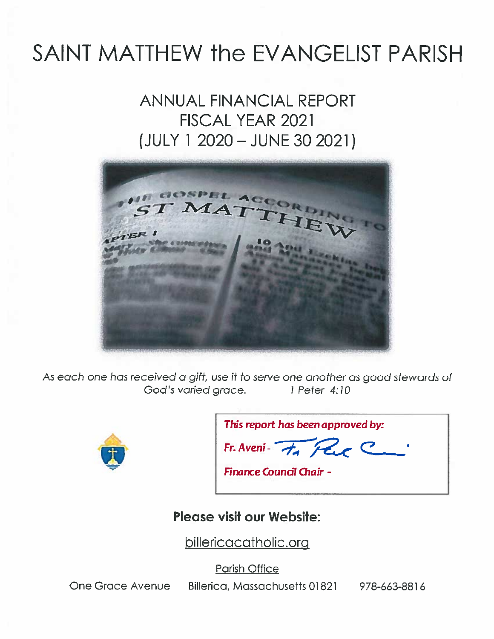# SAINT MATTHEW the EVANGELIST PARISH

## **ANNUAL FINANCIAL REPORT FISCAL YEAR 2021** (JULY 1 2020 - JUNE 30 2021)



As each one has received a gift, use it to serve one another as good stewards of God's varied grace. 1 Peter 4:10



| This report has been approved by: |  |
|-----------------------------------|--|
| Fr. Aveni- $H_{A}$ Par            |  |

Finance Council Chair -

#### **Please visit our Website:**

billericacatholic.org

**Parish Office** 

**One Grace Avenue** 

Billerica, Massachusetts 01821 978-663-8816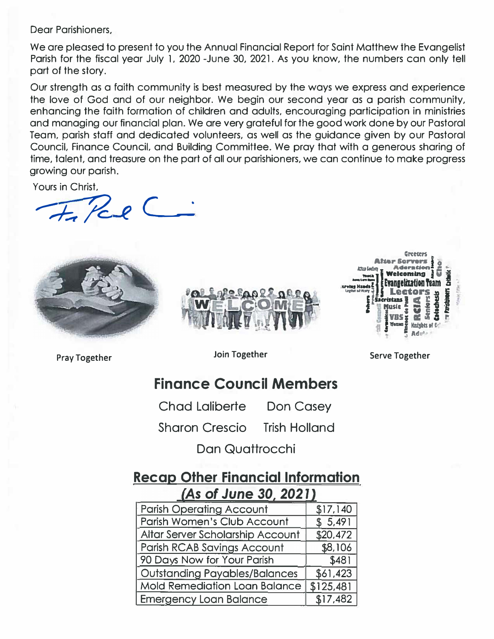Dear Parishioners,

We are pleased to present to you the Annual Financial Report for Saint Matthew the Evangelist Parish for the fiscal year July l. 2020 -June 30, 2021. As you know, the numbers can only tell part of the story.

Our strength as a faith community is best measured by the ways we express and experience the love of God and of our neighbor. We begin our second year as a parish community, enhancing the faith formation of children and adults, encouraging participation in ministries and managing our financial plan. We are very grateful for the good work done by our Pastoral Team, parish staff and dedicated volunteers, as well as the guidance given by our Pastoral Council, Finance Council, and Building Committee. We pray that with a generous sharing of time, talent, and treasure on the part of all our parishioners, we can continue to make progress growing our parish.

Yours in Christ,

The Paul C







**Pray Together Join Together** 

**Serve Together** 

## **Finance Council Members**

Chad Laliberte Don Casey

Sharon Crescio Trish Holland

Dan Quattrocchi

### **Recap Other Financial Information**  *As of* **June** *30 2021*

| <b>Parish Operating Account</b>      | \$17,140  |
|--------------------------------------|-----------|
| Parish Women's Club Account          | \$5,491   |
| Altar Server Scholarship Account     | \$20,472  |
| Parish RCAB Savings Account          | \$8,106   |
| 90 Days Now for Your Parish          | \$481     |
| <b>Outstanding Payables/Balances</b> | \$61,423  |
| <b>Mold Remediation Loan Balance</b> | \$125,481 |
| <b>Emergency Loan Balance</b>        | \$17,482  |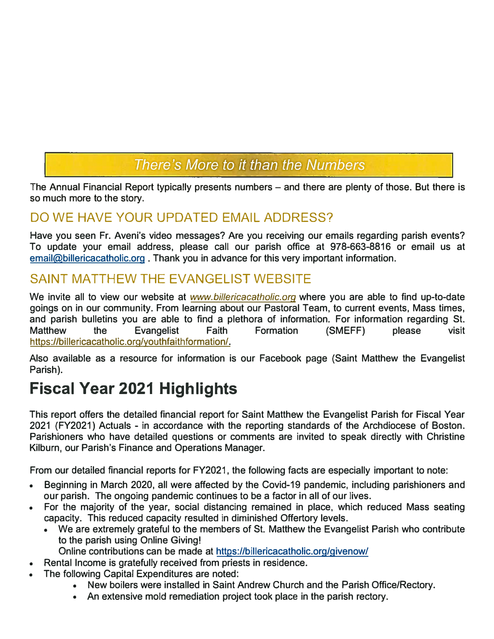## There's More to it than the Numbers

The Annual Financial Report typically presents numbers – and there are plenty of those. But there is so much more to the story.

## DO WE HAVE YOUR UPDATED EMAIL ADDRESS?

Have you seen Fr. Aveni's video messages? Are you receiving our emails regarding parish events? To update your email address, please call our parish office at 978-663-8816 or email us at email@billericacatholic.org. Thank you in advance for this very important information.

### SAINT MATTHEW THE EVANGELIST WEBSITE

We invite all to view our website at *www.billericacatholic.org* where you are able to find up-to-date goings on in our community. From learning about our Pastoral Team, to current events, Mass times, and parish bulletins you are able to find a plethora of information. For information regarding St. Matthew the Evangelist Faith Formation (SMEFF) please visit https://billericacatholic.org/youthfaithformation/.

Also available as a resource for information is our Facebook page (Saint Matthew the Evangelist Parish).

## **Fiscal Year 2021 Highlights**

This report offers the detailed financial report for Saint Matthew the Evangelist Parish for Fiscal Year 2021 (FY2021) Actuals - in accordance with the reporting standards of the Archdiocese of Boston. Parishioners who have detailed questions or comments are invited to speak directly with Christine Kilburn, our Parish's Finance and Operations Manager.

From our detailed financial reports for FY2021, the following facts are especially important to note:

- Beginning in March 2020, all were affected by the Covid-19 pandemic, including parishioners and our parish. The ongoing pandemic continues to be a factor in all of our lives.
- For the majority of the year, social distancing remained in place, which reduced Mass seating capacity. This reduced capacity resulted in diminished Offertory levels.
	- We are extremely grateful to the members of St. Matthew the Evangelist Parish who contribute to the parish using Online Giving!

Online contributions can be made at https://billericacatholic.org/givenow/

- Rental Income is gratefully received from priests in residence.
- The following Capital Expenditures are noted:
	- New boilers were installed in Saint Andrew Church and the Parish Office/Rectory.
	- An extensive mold remediation project took place in the parish rectory.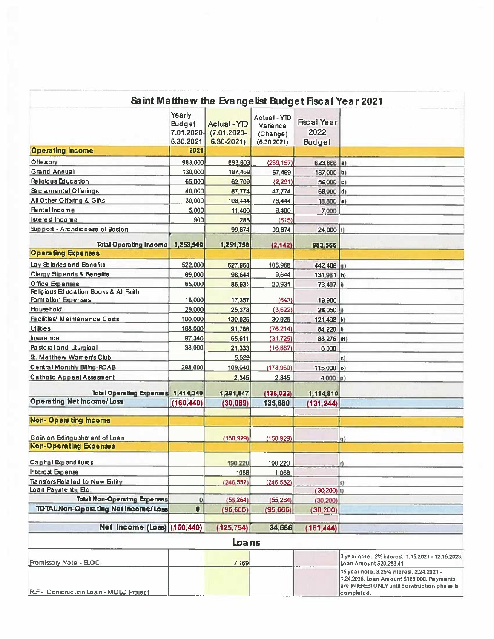|                                                             |                                                    | Saint Matthew the Evangelist Budget Fiscal Year 2021 |                                                     |                                             |                                                                                                                                                       |
|-------------------------------------------------------------|----------------------------------------------------|------------------------------------------------------|-----------------------------------------------------|---------------------------------------------|-------------------------------------------------------------------------------------------------------------------------------------------------------|
|                                                             | Yearly<br><b>Budget</b><br>7.01.2020-<br>6.30.2021 | Actual - YID<br>$(7.01.2020 -$<br>$6.30 - 2021$      | Actual - YTD<br>Variance<br>(Change)<br>(6.30.2021) | <b>Fiscal Year</b><br>2022<br><b>Budget</b> |                                                                                                                                                       |
| <b>Operating Income</b>                                     | 2021                                               |                                                      |                                                     |                                             |                                                                                                                                                       |
| Offertory                                                   | 983,000                                            | 693,803                                              | (289, 197)                                          | $623,866$ a)                                |                                                                                                                                                       |
| <b>Grand Annual</b>                                         | 130,000                                            | 187,469                                              | 57,469                                              | 187,000 b)                                  |                                                                                                                                                       |
| Religious Education                                         | 65,000                                             | 62,709                                               | (2, 291)                                            | $54,000$ c)                                 |                                                                                                                                                       |
| Sacramental Offerings                                       | 40,000                                             | 87.774                                               | 47,774                                              | 68,900 d)                                   |                                                                                                                                                       |
| All Other Offering & Gifts                                  | 30,000                                             | 108,444                                              | 78,444                                              | 18,800 e)                                   |                                                                                                                                                       |
| <b>Rental Income</b>                                        | 5,000                                              | 11,400                                               | 6,400                                               | 7,000                                       |                                                                                                                                                       |
| Interest Income                                             | 900                                                | 285                                                  | (615)                                               |                                             |                                                                                                                                                       |
| Support - Archdiocese of Boston                             |                                                    | 99 874                                               | 99,874                                              | 24,000 f)                                   |                                                                                                                                                       |
|                                                             |                                                    |                                                      |                                                     |                                             |                                                                                                                                                       |
| <b>Total Operating Income</b>                               | 1,253,900                                          | 1,251,758                                            | (2, 142)                                            | 983,566                                     |                                                                                                                                                       |
| <b>Operating Expenses</b>                                   |                                                    |                                                      |                                                     |                                             |                                                                                                                                                       |
| Lav Salaries and Benefits                                   | 522,000                                            | 627,968                                              | 105,968                                             | 442,408 g)                                  |                                                                                                                                                       |
| Clergy Sipends & Benefits                                   | 89,000                                             | 98,644                                               | 9,644                                               | $131,961$ h)                                |                                                                                                                                                       |
| Office Expenses                                             | 65,000                                             | 85,931                                               | 20,931                                              | 73,497 ii                                   |                                                                                                                                                       |
| Religious Education Books & All Faith<br>Formation Expenses | 18,000                                             | 17,357                                               | (643)                                               | 19,900                                      |                                                                                                                                                       |
| Household                                                   | 29,000                                             | 25,378                                               | (3,622)                                             | 28,050                                      |                                                                                                                                                       |
| Facilities/ Maintenance Costs                               | 100,000                                            | 130,925                                              | 30,925                                              | 121,498 k)                                  |                                                                                                                                                       |
| <b>Utilities</b>                                            | 168,000                                            | 91,786                                               | (76, 214)                                           | 84,220 0                                    |                                                                                                                                                       |
| insurance                                                   | 97,340                                             | 65,611                                               | (31, 729)                                           | 88,276 m)                                   |                                                                                                                                                       |
| Pastoral and Liturgical                                     | 38,000                                             | 21,333                                               | (16, 667)                                           | 6,000                                       |                                                                                                                                                       |
| St. Matthew Women's Club                                    |                                                    | 5,529                                                |                                                     |                                             | n)                                                                                                                                                    |
| <b>Central Monthly Billing-RCAB</b>                         | 288,000                                            | 109,040                                              | (178,960)                                           | 115,000 o)                                  |                                                                                                                                                       |
| <b>Catholic Appeal Assessent</b>                            |                                                    | 2,345                                                | 2,345                                               | $4,000$ p)                                  |                                                                                                                                                       |
|                                                             |                                                    |                                                      |                                                     |                                             |                                                                                                                                                       |
| Total Operating Expenses 1,414,340                          |                                                    | 1,281,847                                            | (138, 022)                                          | 1,114,810                                   |                                                                                                                                                       |
| <b>Operating Net Income/ Loss</b>                           | (160, 440)                                         | (30, 089)                                            | 135,880                                             | (131, 244)                                  |                                                                                                                                                       |
| <b>Non-Operating Income</b>                                 |                                                    |                                                      |                                                     |                                             |                                                                                                                                                       |
| Gain on Edinguishment of Loan                               |                                                    | (150, 929)                                           | (150, 929)                                          |                                             | q                                                                                                                                                     |
| <b>Non-Operating Expenses</b>                               |                                                    |                                                      |                                                     |                                             |                                                                                                                                                       |
|                                                             |                                                    |                                                      |                                                     |                                             |                                                                                                                                                       |
| <b>Capital Expenditures</b>                                 |                                                    | 190,220                                              | 190,220                                             |                                             |                                                                                                                                                       |
| Interest Expense                                            |                                                    | 1068                                                 | 1,068                                               |                                             |                                                                                                                                                       |
| Transfers Related to New Entity<br>Loan Payments, Bc.       |                                                    | (246, 552)                                           | (246, 552)                                          | $(30, 200)$ <sub>(1)</sub>                  | s)                                                                                                                                                    |
| <b>Total Non-Operating Expenses</b>                         | 0                                                  | (55, 264)                                            | (55, 264)                                           | (30, 200)                                   |                                                                                                                                                       |
| <b>TOTAL Non-Operating Net Income/Loss</b>                  | $\bullet$                                          | (95,665)                                             |                                                     |                                             |                                                                                                                                                       |
|                                                             |                                                    |                                                      | (95, 665)                                           | (30, 200)                                   |                                                                                                                                                       |
| Net Income (Loss) (160,440)                                 |                                                    | (125, 754)                                           | 34,686                                              | (161, 444)                                  |                                                                                                                                                       |
|                                                             |                                                    | Loans                                                |                                                     |                                             |                                                                                                                                                       |
| Promissory Note - ELOC                                      |                                                    | 7,169                                                |                                                     |                                             | 3 year note, 2% interest, 1.15.2021 - 12.15.2023<br>Loan Amount \$20,283.41                                                                           |
| RLF - Construction Loan - MOLD Project                      |                                                    |                                                      |                                                     |                                             | 15 year note, 3.25% interest, 2.24.2021 -<br>1.24.2036. Loan Amount \$185,000. Payments<br>are INTERESTONLY until construction phase is<br>completed. |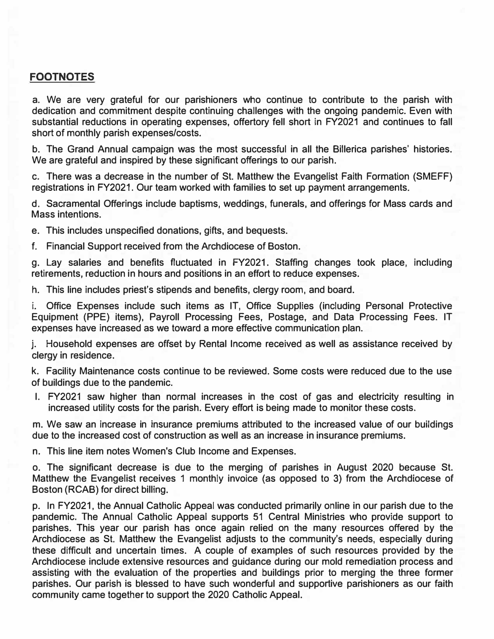#### **FOOTNOTES**

**a. We are very grateful for our parishioners who continue to contribute to the parish with dedication and commitment despite continuing challenges with the ongoing pandemic. Even with substantial reductions in operating expenses, offertory fell short in FY2021 and continues to fall short of monthly parish expenses/costs.**

**b. The Grand Annual campaign was the most successful in all the Billerica parishes' histories. We are grateful and inspired by these significant offerings to our parish.**

**c. There was a decrease in the number of St. Matthew the Evangelist Faith Formation (SMEFF) registrations in FY2021. Our team worked with families to set up payment arrangements.**

**d. Sacramental Offerings include baptisms, weddings, funerals, and offerings for Mass cards and Mass intentions.**

**e. This includes unspecified donations, gifts, and bequests.**

**f. Financial Support received from the Archdiocese of Boston.**

**g. Lay salaries and benefits fluctuated in FY2021. Staffing changes took place, including retirements, reduction in hours and positions in an effort to reduce expenses.**

**h. This line includes priest's stipends and benefits, clergy room, and board.**

**i. Office Expenses include such items as IT, Office Supplies (including Personal Protective Equipment (PPE) items), Payroll Processing Fees, Postage, and Data Processing Fees. IT expenses have increased as we toward a more effective communication plan.**

**j. Household expenses are offset by Rental Income received as well as assistance received by clergy in residence.**

**k. Facility Maintenance costs continue to be reviewed. Some costs were reduced due to the use of buildings due to the pandemic.**

**I. FY2021 saw higher than normal increases in the cost of gas and electricity resulting in increased utility costs for the parish. Every effort is being made to monitor these costs.**

**m. We saw an increase in insurance premiums attributed to the increased value of our buildings due to the increased cost of construction as well as an increase in insurance premiums.**

**n. This line item notes Women's Club Income and Expenses.**

**o. The significant decrease is due to the merging of parishes in August 2020 because St. Matthew the Evangelist receives 1 monthly invoice (as opposed to 3) from the Archdiocese of Boston (RCAB) for direct billing.**

**p. In FY2021, the Annual Catholic Appeal was conducted primarily online in our parish due to the pandemic. The Annual Catholic Appeal supports 51 Central Ministries who provide support to parishes. This year our parish has once again relied on the many resources offered by the Archdiocese as St. Matthew the Evangelist adjusts to the community's needs, especially during these difficult and uncertain times. A couple of examples of such resources provided by the Archdiocese include extensive resources and guidance during our mold remediation process and assisting with the evaluation of the properties and buildings prior to merging the three former parishes. Our parish is blessed to have such wonderful and supportive parishioners as our faith community came together to support the 2020 Catholic Appeal.**